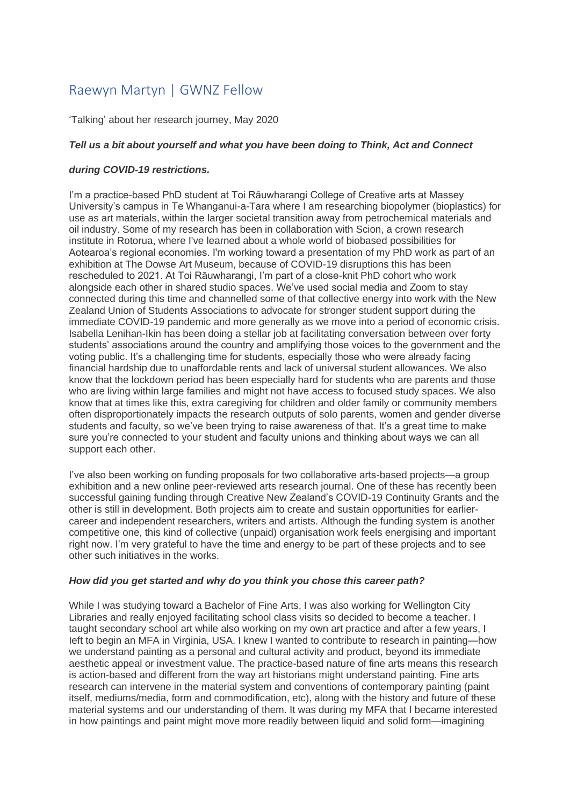# Raewyn Martyn | GWNZ Fellow

'Talking' about her research journey, May 2020

## *Tell us a bit about yourself and what you have been doing to Think, Act and Connect*

## *during COVID-19 restrictions.*

I'm a practice-based PhD student at Toi Rāuwharangi College of Creative arts at Massey University's campus in Te Whanganui-a-Tara where I am researching biopolymer (bioplastics) for use as art materials, within the larger societal transition away from petrochemical materials and oil industry. Some of my research has been in collaboration with Scion, a crown research institute in Rotorua, where I've learned about a whole world of biobased possibilities for Aotearoa's regional economies. I'm working toward a presentation of my PhD work as part of an exhibition at The Dowse Art Museum, because of COVID-19 disruptions this has been rescheduled to 2021. At Toi Rāuwharangi, I'm part of a close-knit PhD cohort who work alongside each other in shared studio spaces. We've used social media and Zoom to stay connected during this time and channelled some of that collective energy into work with the New Zealand Union of Students Associations to advocate for stronger student support during the immediate COVID-19 pandemic and more generally as we move into a period of economic crisis. Isabella Lenihan-Ikin has been doing a stellar job at facilitating conversation between over forty students' associations around the country and amplifying those voices to the government and the voting public. It's a challenging time for students, especially those who were already facing financial hardship due to unaffordable rents and lack of universal student allowances. We also know that the lockdown period has been especially hard for students who are parents and those who are living within large families and might not have access to focused study spaces. We also know that at times like this, extra caregiving for children and older family or community members often disproportionately impacts the research outputs of solo parents, women and gender diverse students and faculty, so we've been trying to raise awareness of that. It's a great time to make sure you're connected to your student and faculty unions and thinking about ways we can all support each other.

I've also been working on funding proposals for two collaborative arts-based projects—a group exhibition and a new online peer-reviewed arts research journal. One of these has recently been successful gaining funding through Creative New Zealand's COVID-19 Continuity Grants and the other is still in development. Both projects aim to create and sustain opportunities for earliercareer and independent researchers, writers and artists. Although the funding system is another competitive one, this kind of collective (unpaid) organisation work feels energising and important right now. I'm very grateful to have the time and energy to be part of these projects and to see other such initiatives in the works.

#### *How did you get started and why do you think you chose this career path?*

While I was studying toward a Bachelor of Fine Arts, I was also working for Wellington City Libraries and really enjoyed facilitating school class visits so decided to become a teacher. I taught secondary school art while also working on my own art practice and after a few years, I Ieft to begin an MFA in Virginia, USA. I knew I wanted to contribute to research in painting—how we understand painting as a personal and cultural activity and product, beyond its immediate aesthetic appeal or investment value. The practice-based nature of fine arts means this research is action-based and different from the way art historians might understand painting. Fine arts research can intervene in the material system and conventions of contemporary painting (paint itself, mediums/media, form and commodification, etc), along with the history and future of these material systems and our understanding of them. It was during my MFA that I became interested in how paintings and paint might move more readily between liquid and solid form—imagining